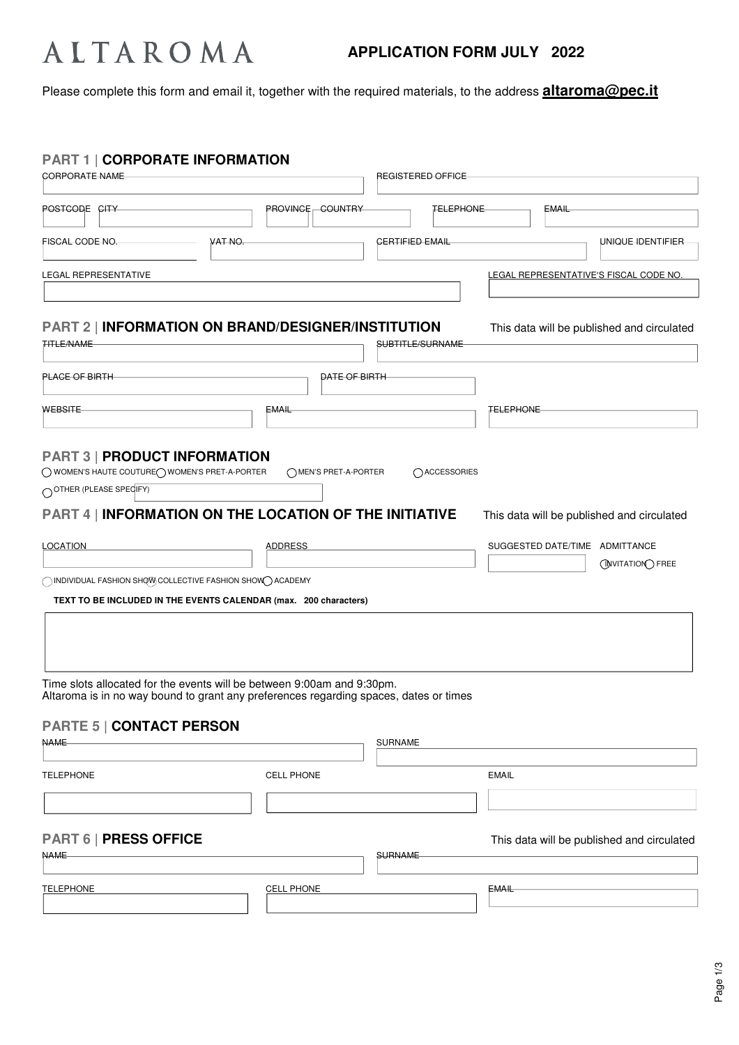# ALTAROMA

## **APPLICATION FORM JULY 2022**

Please complete this form and email it, together with the required materials, to the address **altaroma@pec.it**

| <b>PART 1   CORPORATE INFORMATION</b><br><b>CORPORATE NAME</b>                                                                                                             |                         | <b>REGISTERED OFFICE</b> |                                |                                                                      |
|----------------------------------------------------------------------------------------------------------------------------------------------------------------------------|-------------------------|--------------------------|--------------------------------|----------------------------------------------------------------------|
| POSTCODE CITY                                                                                                                                                              | <b>PROVINGE GOUNTRY</b> | <b>TELEPHONE</b>         | EMAIL                          |                                                                      |
| VAT NO.<br>FISCAL CODE NO.                                                                                                                                                 |                         | <b>CERTIFIED EMAIL</b>   |                                | UNIQUE IDENTIFIER                                                    |
| LEGAL REPRESENTATIVE                                                                                                                                                       |                         |                          |                                | LEGAL REPRESENTATIVE'S FISCAL CODE NO.                               |
| <b>PART 2   INFORMATION ON BRAND/DESIGNER/INSTITUTION</b><br><b>TITLE/NAME</b>                                                                                             |                         | SUBTITLE/SURNAME         |                                | This data will be published and circulated                           |
| <b>PLACE OF BIRTH</b>                                                                                                                                                      |                         | DATE OF BIRTH            |                                |                                                                      |
| WEBSITE                                                                                                                                                                    | EMAIL                   |                          | <b>TELEPHONE</b>               |                                                                      |
| O OTHER (PLEASE SPECIFY)<br><b>PART 4   INFORMATION ON THE LOCATION OF THE INITIATIVE</b><br><b>LOCATION</b><br>◯ INDIVIDUAL FASHION SHQW COLLECTIVE FASHION SHOW◯ ACADEMY | <b>ADDRESS</b>          |                          | SUGGESTED DATE/TIME ADMITTANCE | This data will be published and circulated<br><b>ONVITATION FREE</b> |
| TEXT TO BE INCLUDED IN THE EVENTS CALENDAR (max. 200 characters)<br>Time slots allocated for the events will be between 9:00am and 9:30pm.                                 |                         |                          |                                |                                                                      |
| Altaroma is in no way bound to grant any preferences regarding spaces, dates or times<br><b>PARTE 5   CONTACT PERSON</b><br><b>NAME</b>                                    |                         | <b>SURNAME</b>           |                                |                                                                      |
| <b>TELEPHONE</b>                                                                                                                                                           | <b>CELL PHONE</b>       |                          | <b>EMAIL</b>                   |                                                                      |
|                                                                                                                                                                            |                         |                          |                                |                                                                      |
|                                                                                                                                                                            |                         |                          |                                |                                                                      |
| <b>PART 6   PRESS OFFICE</b><br><b>NAME</b>                                                                                                                                |                         | <b>SURNAME</b>           |                                | This data will be published and circulated                           |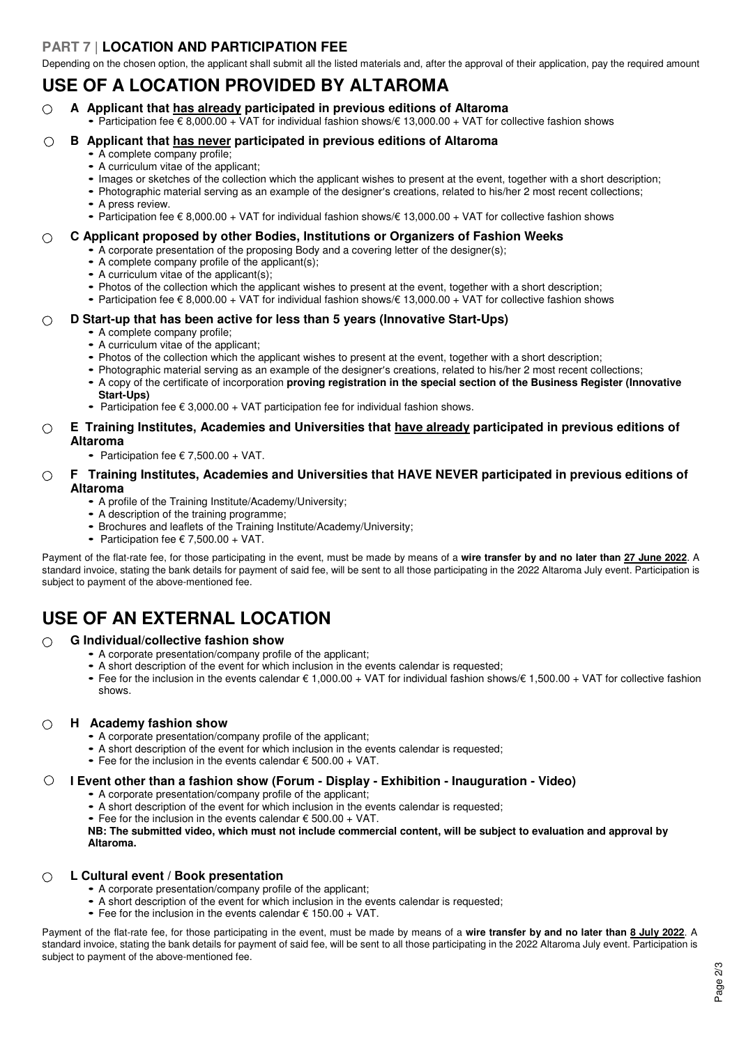### **PART 7 | LOCATION AND PARTICIPATION FEE**

Depending on the chosen option, the applicant shall submit all the listed materials and, after the approval of their application, pay the required amount

## **USE OF A LOCATION PROVIDED BY ALTAROMA**

- **A Applicant that has already participated in previous editions of Altaroma**  $\bigcap$ 
	- Participation fee  $\epsilon$  8,000.00 + VAT for individual fashion shows/ $\epsilon$  13,000.00 + VAT for collective fashion shows

### **B Applicant that has never participated in previous editions of Altaroma**  $\circ$

- A complete company profile;
- A curriculum vitae of the applicant;
- Images or sketches of the collection which the applicant wishes to present at the event, together with a short description;
- Photographic material serving as an example of the designer's creations, related to his/her 2 most recent collections;
- A press review.
- Participation fee € 8,000.00 + VAT for individual fashion shows/€ 13,000.00 + VAT for collective fashion shows

### **C Applicant proposed by other Bodies, Institutions or Organizers of Fashion Weeks**  $\bigcap$

- A corporate presentation of the proposing Body and a covering letter of the designer(s);
	- A complete company profile of the applicant(s);
	- A curriculum vitae of the applicant(s);
	- Photos of the collection which the applicant wishes to present at the event, together with a short description;
	- Participation fee € 8,000.00 + VAT for individual fashion shows/€ 13,000.00 + VAT for collective fashion shows

### **D Start-up that has been active for less than 5 years (Innovative Start-Ups)**  $\bigcap$

- A complete company profile;
- A curriculum vitae of the applicant;
- Photos of the collection which the applicant wishes to present at the event, together with a short description;
- Photographic material serving as an example of the designer's creations, related to his/her 2 most recent collections;
- A copy of the certificate of incorporation **proving registration in the special section of the Business Register (Innovative Start-Ups)**
- Participation fee  $\epsilon$  3,000.00 + VAT participation fee for individual fashion shows.

### **E Training Institutes, Academies and Universities that have already participated in previous editions of**   $\bigcap$ **Altaroma**

• Participation fee  $\epsilon$  7,500.00 + VAT.

### **F Training Institutes, Academies and Universities that HAVE NEVER participated in previous editions of**   $\bigcirc$ **Altaroma**

- A profile of the Training Institute/Academy/University;
- A description of the training programme;
- Brochures and leaflets of the Training Institute/Academy/University;
- Participation fee  $\epsilon$  7,500.00 + VAT.

Payment of the flat-rate fee, for those participating in the event, must be made by means of a **wire transfer by and no later than 27 June 2022**. A standard invoice, stating the bank details for payment of said fee, will be sent to all those participating in the 2022 Altaroma July event. Participation is subject to payment of the above-mentioned fee.

## **USE OF AN EXTERNAL LOCATION**

### **G Individual/collective fashion show**  $\bigcap$

- A corporate presentation/company profile of the applicant;
- A short description of the event for which inclusion in the events calendar is requested;
- Fee for the inclusion in the events calendar € 1,000.00 + VAT for individual fashion shows/€ 1,500.00 + VAT for collective fashion shows.

### **H Academy fashion show**  $\bigcap$

- A corporate presentation/company profile of the applicant;
- A short description of the event for which inclusion in the events calendar is requested;
- Fee for the inclusion in the events calendar  $\epsilon$  500.00 + VAT.

### **I Event other than a fashion show (Forum - Display - Exhibition - Inauguration - Video)**  $\bigcirc$

- A corporate presentation/company profile of the applicant;
- A short description of the event for which inclusion in the events calendar is requested;
- Fee for the inclusion in the events calendar  $\epsilon$  500.00 + VAT.

**NB: The submitted video, which must not include commercial content, will be subject to evaluation and approval by Altaroma.**

### **L Cultural event / Book presentation**  $\bigcirc$

- A corporate presentation/company profile of the applicant;
- A short description of the event for which inclusion in the events calendar is requested;
- Fee for the inclusion in the events calendar  $\epsilon$  150.00 + VAT.

Payment of the flat-rate fee, for those participating in the event, must be made by means of a **wire transfer by and no later than 8 July 2022**. A standard invoice, stating the bank details for payment of said fee, will be sent to all those participating in the 2022 Altaroma July event. Participation is subject to payment of the above-mentioned fee.